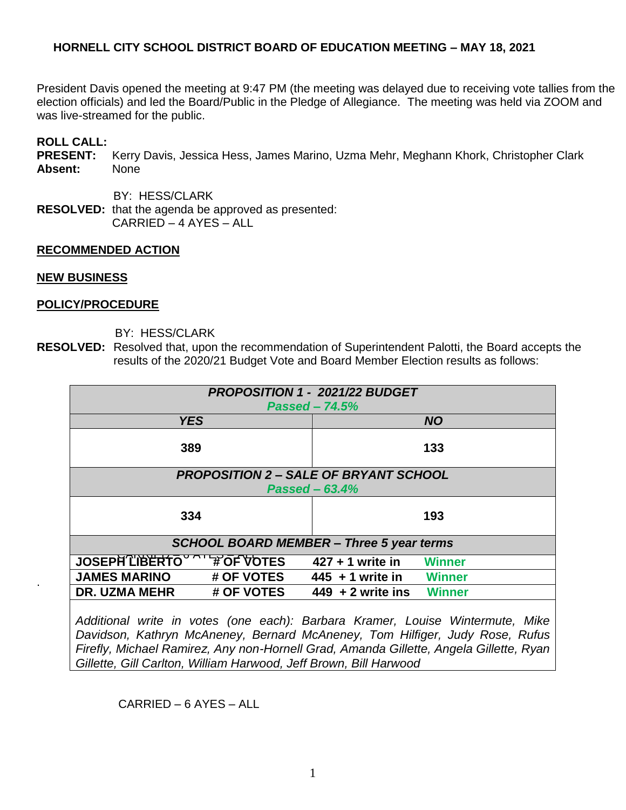## **HORNELL CITY SCHOOL DISTRICT BOARD OF EDUCATION MEETING – MAY 18, 2021**

President Davis opened the meeting at 9:47 PM (the meeting was delayed due to receiving vote tallies from the election officials) and led the Board/Public in the Pledge of Allegiance. The meeting was held via ZOOM and was live-streamed for the public.

## **ROLL CALL:**

**PRESENT:** Kerry Davis, Jessica Hess, James Marino, Uzma Mehr, Meghann Khork, Christopher Clark **Absent:** None

BY: HESS/CLARK

**RESOLVED:** that the agenda be approved as presented: CARRIED – 4 AYES – ALL

#### **RECOMMENDED ACTION**

#### **NEW BUSINESS**

.

#### **POLICY/PROCEDURE**

- BY: HESS/CLARK
- **RESOLVED:** Resolved that, upon the recommendation of Superintendent Palotti, the Board accepts the results of the 2020/21 Budget Vote and Board Member Election results as follows:

| PROPOSITION 1 - 2021/22 BUDGET                  |                                                                               |
|-------------------------------------------------|-------------------------------------------------------------------------------|
| $Passed - 74.5%$                                |                                                                               |
|                                                 |                                                                               |
| <b>YES</b>                                      | <b>NO</b>                                                                     |
|                                                 |                                                                               |
| 389                                             | 133                                                                           |
|                                                 |                                                                               |
| <b>PROPOSITION 2 - SALE OF BRYANT SCHOOL</b>    |                                                                               |
|                                                 |                                                                               |
| Passed $-63.4%$                                 |                                                                               |
|                                                 |                                                                               |
| 334                                             | 193                                                                           |
|                                                 |                                                                               |
| <b>SCHOOL BOARD MEMBER - Three 5 year terms</b> |                                                                               |
|                                                 |                                                                               |
| JOSEPH'LIBERTO A FOF VOTES                      | $427 + 1$ write in<br>Winner                                                  |
| <b>JAMES MARINO</b><br># OF VOTES               | $445 + 1$ write in<br><b>Winner</b>                                           |
| # OF VOTES<br><b>DR. UZMA MEHR</b>              | $449 + 2$ write ins<br><b>Winner</b>                                          |
|                                                 |                                                                               |
|                                                 |                                                                               |
|                                                 | Additional write in votes (one each): Barbara Kramer, Louise Wintermute, Mike |

*Davidson, Kathryn McAneney, Bernard McAneney, Tom Hilfiger, Judy Rose, Rufus Firefly, Michael Ramirez, Any non-Hornell Grad, Amanda Gillette, Angela Gillette, Ryan Gillette, Gill Carlton, William Harwood, Jeff Brown, Bill Harwood*

CARRIED – 6 AYES – ALL